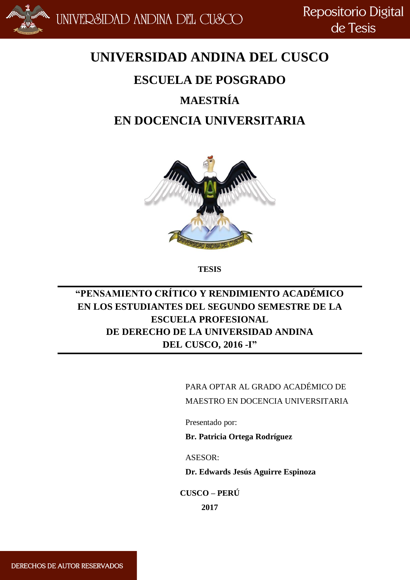

Repositorio Digital de Tesis

## **UNIVERSIDAD ANDINA DEL CUSCO**

# **ESCUELA DE POSGRADO MAESTRÍA EN DOCENCIA UNIVERSITARIA**



**TESIS**

## **"PENSAMIENTO CRÍTICO Y RENDIMIENTO ACADÉMICO EN LOS ESTUDIANTES DEL SEGUNDO SEMESTRE DE LA ESCUELA PROFESIONAL DE DERECHO DE LA UNIVERSIDAD ANDINA DEL CUSCO, 2016 -I"**

PARA OPTAR AL GRADO ACADÉMICO DE MAESTRO EN DOCENCIA UNIVERSITARIA

Presentado por:

**Br. Patricia Ortega Rodríguez**

ASESOR:

**Dr. Edwards Jesús Aguirre Espinoza**

**CUSCO – PERÚ**

**2017**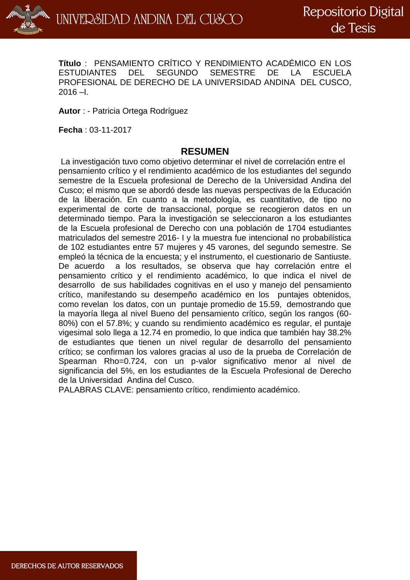

**Título** : PENSAMIENTO CRÍTICO Y RENDIMIENTO ACADÉMICO EN LOS ESTUDIANTES DEL SEGUNDO SEMESTRE DE LA ESCUELA PROFESIONAL DE DERECHO DE LA UNIVERSIDAD ANDINA DEL CUSCO,  $2016 - I$ .

**Autor** : - Patricia Ortega Rodríguez

**Fecha** : 03-11-2017

#### **RESUMEN**

La investigación tuvo como objetivo determinar el nivel de correlación entre el pensamiento crítico y el rendimiento académico de los estudiantes del segundo semestre de la Escuela profesional de Derecho de la Universidad Andina del Cusco; el mismo que se abordó desde las nuevas perspectivas de la Educación de la liberación. En cuanto a la metodología, es cuantitativo, de tipo no experimental de corte de transaccional, porque se recogieron datos en un determinado tiempo. Para la investigación se seleccionaron a los estudiantes de la Escuela profesional de Derecho con una población de 1704 estudiantes matriculados del semestre 2016- I y la muestra fue intencional no probabilística de 102 estudiantes entre 57 mujeres y 45 varones, del segundo semestre. Se empleó la técnica de la encuesta; y el instrumento, el cuestionario de Santiuste. De acuerdo a los resultados, se observa que hay correlación entre el pensamiento crítico y el rendimiento académico, lo que indica el nivel de desarrollo de sus habilidades cognitivas en el uso y manejo del pensamiento crítico, manifestando su desempeño académico en los puntajes obtenidos, como revelan los datos, con un puntaje promedio de 15.59, demostrando que la mayoría llega al nivel Bueno del pensamiento crítico, según los rangos (60- 80%) con el 57.8%; y cuando su rendimiento académico es regular, el puntaje vigesimal solo llega a 12.74 en promedio, lo que indica que también hay 38.2% de estudiantes que tienen un nivel regular de desarrollo del pensamiento crítico; se confirman los valores gracias al uso de la prueba de Correlación de Spearman Rho=0.724, con un p-valor significativo menor al nivel de significancia del 5%, en los estudiantes de la Escuela Profesional de Derecho de la Universidad Andina del Cusco.

PALABRAS CLAVE: pensamiento crítico, rendimiento académico.